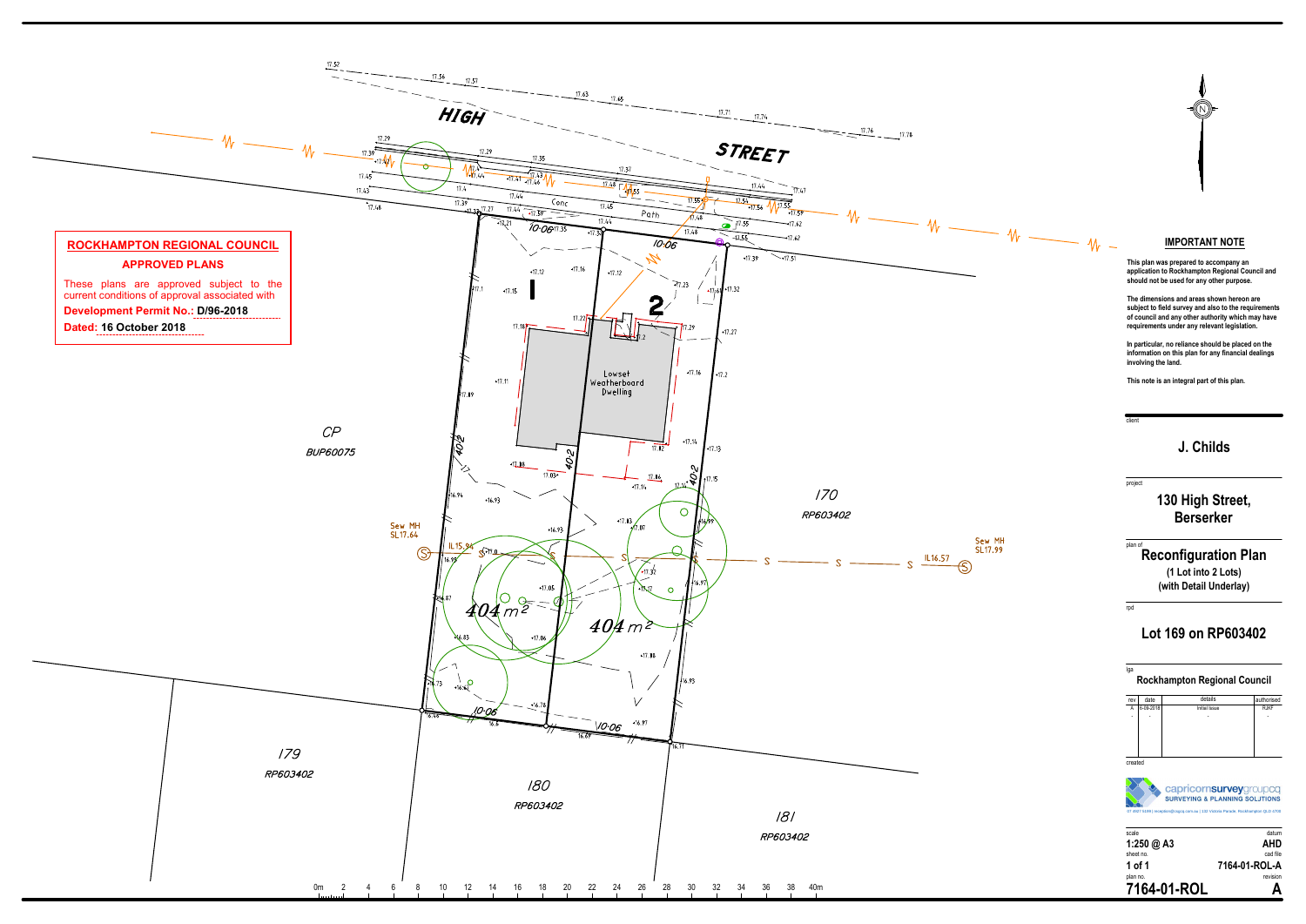client

# **J. Childs**

# project **130 High Street,Berserker**

(1 Lot into 2 Lots)

| rev            | date      | details       | authorised  |  |
|----------------|-----------|---------------|-------------|--|
| $\overline{A}$ | 6-09-2018 | Initial Issue | <b>RJKF</b> |  |
| ۰              |           |               |             |  |
|                |           |               |             |  |
|                |           |               |             |  |
|                |           |               |             |  |
|                |           |               |             |  |
| created        |           |               |             |  |